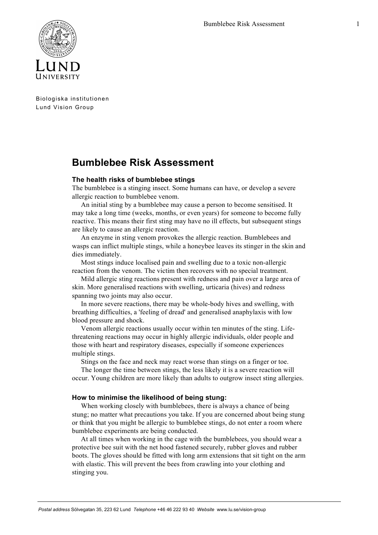

Biologiska institutionen Lund Vision Group

## **Bumblebee Risk Assessment**

## **The health risks of bumblebee stings**

The bumblebee is a stinging insect. Some humans can have, or develop a severe allergic reaction to bumblebee venom.

An initial sting by a bumblebee may cause a person to become sensitised. It may take a long time (weeks, months, or even years) for someone to become fully reactive. This means their first sting may have no ill effects, but subsequent stings are likely to cause an allergic reaction.

An enzyme in sting venom provokes the allergic reaction. Bumblebees and wasps can inflict multiple stings, while a honeybee leaves its stinger in the skin and dies immediately.

Most stings induce localised pain and swelling due to a toxic non-allergic reaction from the venom. The victim then recovers with no special treatment.

Mild allergic sting reactions present with redness and pain over a large area of skin. More generalised reactions with swelling, urticaria (hives) and redness spanning two joints may also occur.

In more severe reactions, there may be whole-body hives and swelling, with breathing difficulties, a 'feeling of dread' and generalised anaphylaxis with low blood pressure and shock.

Venom allergic reactions usually occur within ten minutes of the sting. Lifethreatening reactions may occur in highly allergic individuals, older people and those with heart and respiratory diseases, especially if someone experiences multiple stings.

Stings on the face and neck may react worse than stings on a finger or toe.

The longer the time between stings, the less likely it is a severe reaction will occur. Young children are more likely than adults to outgrow insect sting allergies.

## **How to minimise the likelihood of being stung:**

When working closely with bumblebees, there is always a chance of being stung; no matter what precautions you take. If you are concerned about being stung or think that you might be allergic to bumblebee stings, do not enter a room where bumblebee experiments are being conducted.

At all times when working in the cage with the bumblebees, you should wear a protective bee suit with the net hood fastened securely, rubber gloves and rubber boots. The gloves should be fitted with long arm extensions that sit tight on the arm with elastic. This will prevent the bees from crawling into your clothing and stinging you.